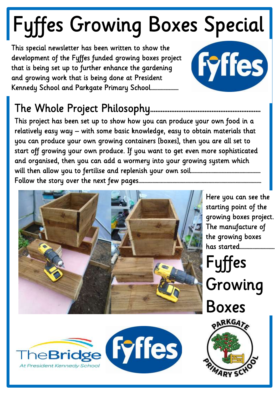# Fyffes Growing Boxes Special

This special newsletter has been written to show the development of the Fyffes funded growing boxes project that is being set up to further enhance the gardening and growing work that is being done at President Kennedy School and Parkgate Primary School……………………



## The Whole Project Philosophy..

This project has been set up to show how you can produce your own food in a relatively easy way – with some basic knowledge, easy to obtain materials that you can produce your own growing containers [boxes], then you are all set to start off growing your own produce. If you want to get even more sophisticated and organised, then you can add a wormery into your growing system which will then allow you to fertilise and replenish your own soil…………………………………………………… Follow the story over the next few pages……………………………………………………………………………………………



Bridge Fyffes

At President Kennedy Schoo

Here you can see the starting point of the growing boxes project. The manufacture of the growing boxes has started…………………………

Fyffes

Growing

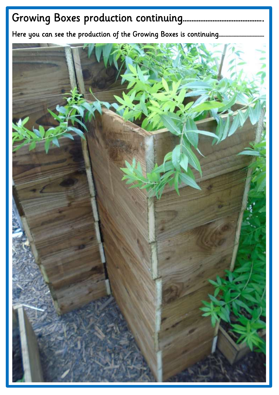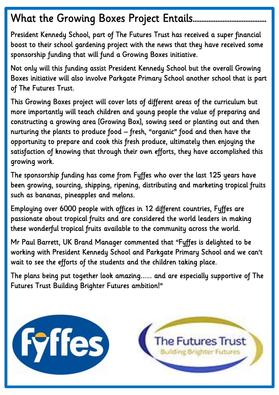## What the Growing Boxes Project Entails……………………………………

President Kennedy School, part of The Futures Trust has received a super financial boost to their school gardening project with the news that they have received some sponsorship funding that will fund a Growing Boxes initiative.

Not only will this funding assist President Kennedy School but the overall Growing Boxes initiative will also involve Parkgate Primary School another school that is part of The Futures Trust.

This Growing Boxes project will cover lots of different areas of the curriculum but more importantly will teach children and young people the value of preparing and constructing a growing area [Growing Box], sowing seed or planting out and then nurturing the plants to produce food – fresh, "organic" food and then have the opportunity to prepare and cook this fresh produce, ultimately then enjoying the satisfaction of knowing that through their own efforts, they have accomplished this growing work.

The sponsorship funding has come from Fyffes who over the last 125 years have been growing, sourcing, shipping, ripening, distributing and marketing tropical fruits such as bananas, pineapples and melons.

Employing over 6000 people with offices in 12 different countries, Fyffes are passionate about tropical fruits and are considered the world leaders in making these wonderful tropical fruits available to the community across the world.

Mr Paul Barrett, UK Brand Manager commented that "Fyffes is delighted to be working with President Kennedy School and Parkgate Primary School and we can't wait to see the efforts of the students and the children taking place.

The plans being put together look amazing...... and are especially supportive of The Futures Trust Building Brighter Futures ambition!"

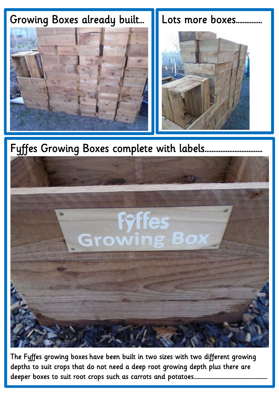

Fyffes Growing Boxes complete with labels.



The Fyffes growing boxes have been built in two sizes with two different growing depths to suit crops that do not need a deep root growing depth plus there are deeper boxes to suit root crops such as carrots and potatoes………………………………………………………